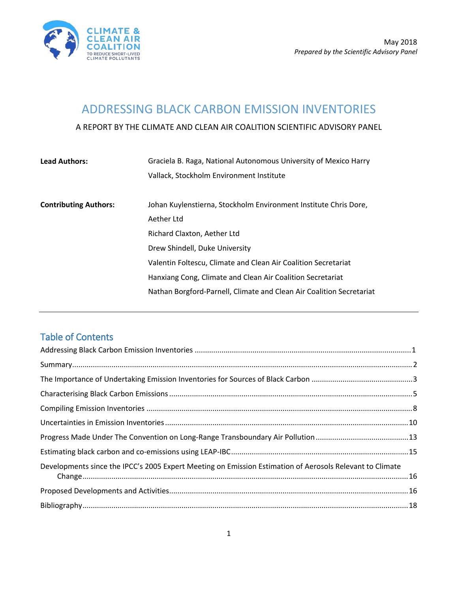

## <span id="page-0-0"></span>ADDRESSING BLACK CARBON EMISSION INVENTORIES

A REPORT BY THE CLIMATE AND CLEAN AIR COALITION SCIENTIFIC ADVISORY PANEL

| <b>Lead Authors:</b>         | Graciela B. Raga, National Autonomous University of Mexico Harry     |
|------------------------------|----------------------------------------------------------------------|
|                              | Vallack, Stockholm Environment Institute                             |
| <b>Contributing Authors:</b> | Johan Kuylenstierna, Stockholm Environment Institute Chris Dore,     |
|                              | Aether Ltd                                                           |
|                              | Richard Claxton, Aether Ltd                                          |
|                              | Drew Shindell, Duke University                                       |
|                              | Valentin Foltescu, Climate and Clean Air Coalition Secretariat       |
|                              | Hanxiang Cong, Climate and Clean Air Coalition Secretariat           |
|                              | Nathan Borgford-Parnell, Climate and Clean Air Coalition Secretariat |
|                              |                                                                      |

#### Table of Contents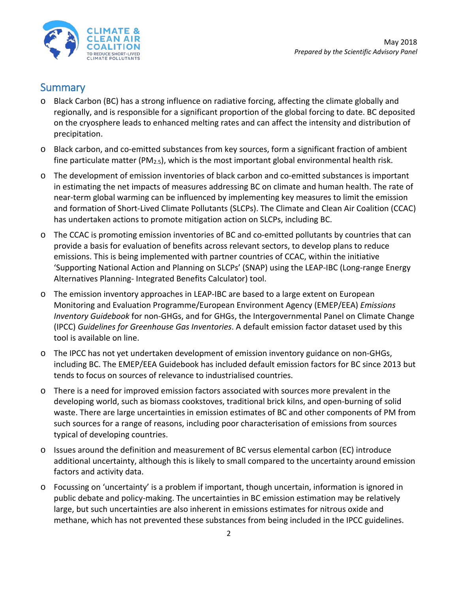

#### <span id="page-1-0"></span>**Summary**

- o Black Carbon (BC) has a strong influence on radiative forcing, affecting the climate globally and regionally, and is responsible for a significant proportion of the global forcing to date. BC deposited on the cryosphere leads to enhanced melting rates and can affect the intensity and distribution of precipitation.
- o Black carbon, and co-emitted substances from key sources, form a significant fraction of ambient fine particulate matter (PM<sub>2.5</sub>), which is the most important global environmental health risk.
- o The development of emission inventories of black carbon and co-emitted substances is important in estimating the net impacts of measures addressing BC on climate and human health. The rate of near-term global warming can be influenced by implementing key measures to limit the emission and formation of Short-Lived Climate Pollutants (SLCPs). The Climate and Clean Air Coalition (CCAC) has undertaken actions to promote mitigation action on SLCPs, including BC.
- o The CCAC is promoting emission inventories of BC and co-emitted pollutants by countries that can provide a basis for evaluation of benefits across relevant sectors, to develop plans to reduce emissions. This is being implemented with partner countries of CCAC, within the initiative 'Supporting National Action and Planning on SLCPs' (SNAP) using the LEAP-IBC (Long-range Energy Alternatives Planning- Integrated Benefits Calculator) tool.
- o The emission inventory approaches in LEAP-IBC are based to a large extent on European Monitoring and Evaluation Programme/European Environment Agency (EMEP/EEA) *Emissions Inventory Guidebook* for non-GHGs, and for GHGs, the Intergovernmental Panel on Climate Change (IPCC) *Guidelines for Greenhouse Gas Inventories*. A default emission factor dataset used by this tool is available on line.
- o The IPCC has not yet undertaken development of emission inventory guidance on non-GHGs, including BC. The EMEP/EEA Guidebook has included default emission factors for BC since 2013 but tends to focus on sources of relevance to industrialised countries.
- o There is a need for improved emission factors associated with sources more prevalent in the developing world, such as biomass cookstoves, traditional brick kilns, and open-burning of solid waste. There are large uncertainties in emission estimates of BC and other components of PM from such sources for a range of reasons, including poor characterisation of emissions from sources typical of developing countries.
- o Issues around the definition and measurement of BC versus elemental carbon (EC) introduce additional uncertainty, although this is likely to small compared to the uncertainty around emission factors and activity data.
- o Focussing on 'uncertainty' is a problem if important, though uncertain, information is ignored in public debate and policy-making. The uncertainties in BC emission estimation may be relatively large, but such uncertainties are also inherent in emissions estimates for nitrous oxide and methane, which has not prevented these substances from being included in the IPCC guidelines.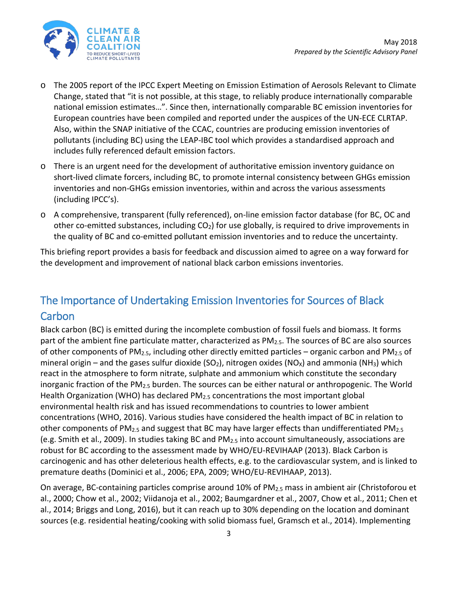

- o The 2005 report of the IPCC Expert Meeting on Emission Estimation of Aerosols Relevant to Climate Change, stated that "it is not possible, at this stage, to reliably produce internationally comparable national emission estimates…". Since then, internationally comparable BC emission inventories for European countries have been compiled and reported under the auspices of the UN-ECE CLRTAP. Also, within the SNAP initiative of the CCAC, countries are producing emission inventories of pollutants (including BC) using the LEAP-IBC tool which provides a standardised approach and includes fully referenced default emission factors.
- o There is an urgent need for the development of authoritative emission inventory guidance on short-lived climate forcers, including BC, to promote internal consistency between GHGs emission inventories and non-GHGs emission inventories, within and across the various assessments (including IPCC's).
- o A comprehensive, transparent (fully referenced), on-line emission factor database (for BC, OC and other co-emitted substances, including  $CO<sub>2</sub>$ ) for use globally, is required to drive improvements in the quality of BC and co-emitted pollutant emission inventories and to reduce the uncertainty.

This briefing report provides a basis for feedback and discussion aimed to agree on a way forward for the development and improvement of national black carbon emissions inventories.

# <span id="page-2-0"></span>The Importance of Undertaking Emission Inventories for Sources of Black **Carbon**

Black carbon (BC) is emitted during the incomplete combustion of fossil fuels and biomass. It forms part of the ambient fine particulate matter, characterized as PM<sub>2.5</sub>. The sources of BC are also sources of other components of PM<sub>2.5</sub>, including other directly emitted particles – organic carbon and PM<sub>2.5</sub> of mineral origin – and the gases sulfur dioxide (SO<sub>2</sub>), nitrogen oxides (NO<sub>x</sub>) and ammonia (NH<sub>3</sub>) which react in the atmosphere to form nitrate, sulphate and ammonium which constitute the secondary inorganic fraction of the PM<sub>2.5</sub> burden. The sources can be either natural or anthropogenic. The World Health Organization (WHO) has declared  $PM_{2.5}$  concentrations the most important global environmental health risk and has issued recommendations to countries to lower ambient concentrations (WHO, 2016). Various studies have considered the health impact of BC in relation to other components of PM2.5 and suggest that BC may have larger effects than undifferentiated PM2.5 (e.g. Smith et al., 2009). In studies taking BC and PM2.5 into account simultaneously, associations are robust for BC according to the assessment made by WHO/EU-REVIHAAP (2013). Black Carbon is carcinogenic and has other deleterious health effects, e.g. to the cardiovascular system, and is linked to premature deaths (Dominici et al., 2006; EPA, 2009; WHO/EU-REVIHAAP, 2013).

On average, BC-containing particles comprise around 10% of PM2.5 mass in ambient air (Christoforou et al., 2000; Chow et al., 2002; Viidanoja et al., 2002; Baumgardner et al., 2007, Chow et al., 2011; Chen et al., 2014; Briggs and Long, 2016), but it can reach up to 30% depending on the location and dominant sources (e.g. residential heating/cooking with solid biomass fuel, Gramsch et al., 2014). Implementing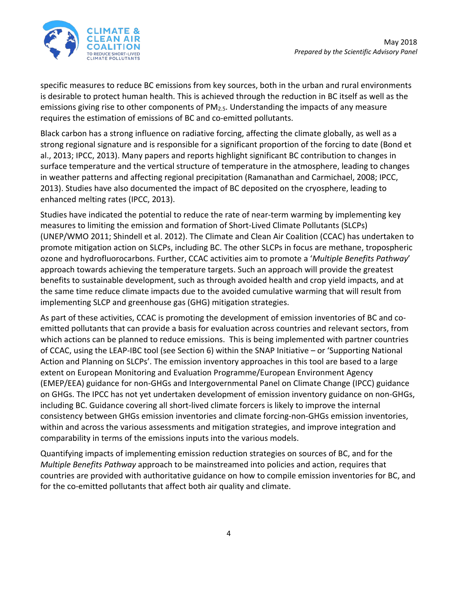

specific measures to reduce BC emissions from key sources, both in the urban and rural environments is desirable to protect human health. This is achieved through the reduction in BC itself as well as the emissions giving rise to other components of PM2.5. Understanding the impacts of any measure requires the estimation of emissions of BC and co-emitted pollutants.

Black carbon has a strong influence on radiative forcing, affecting the climate globally, as well as a strong regional signature and is responsible for a significant proportion of the forcing to date (Bond et al., 2013; IPCC, 2013). Many papers and reports highlight significant BC contribution to changes in surface temperature and the vertical structure of temperature in the atmosphere, leading to changes in weather patterns and affecting regional precipitation (Ramanathan and Carmichael, 2008; IPCC, 2013). Studies have also documented the impact of BC deposited on the cryosphere, leading to enhanced melting rates (IPCC, 2013).

Studies have indicated the potential to reduce the rate of near-term warming by implementing key measures to limiting the emission and formation of Short-Lived Climate Pollutants (SLCPs) (UNEP/WMO 2011; Shindell et al. 2012). The Climate and Clean Air Coalition (CCAC) has undertaken to promote mitigation action on SLCPs, including BC. The other SLCPs in focus are methane, tropospheric ozone and hydrofluorocarbons. Further, CCAC activities aim to promote a '*Multiple Benefits Pathway*' approach towards achieving the temperature targets. Such an approach will provide the greatest benefits to sustainable development, such as through avoided health and crop yield impacts, and at the same time reduce climate impacts due to the avoided cumulative warming that will result from implementing SLCP and greenhouse gas (GHG) mitigation strategies.

As part of these activities, CCAC is promoting the development of emission inventories of BC and coemitted pollutants that can provide a basis for evaluation across countries and relevant sectors, from which actions can be planned to reduce emissions. This is being implemented with partner countries of CCAC, using the LEAP-IBC tool (see Section 6) within the SNAP Initiative – or 'Supporting National Action and Planning on SLCPs'. The emission inventory approaches in this tool are based to a large extent on European Monitoring and Evaluation Programme/European Environment Agency (EMEP/EEA) guidance for non-GHGs and Intergovernmental Panel on Climate Change (IPCC) guidance on GHGs. The IPCC has not yet undertaken development of emission inventory guidance on non-GHGs, including BC. Guidance covering all short-lived climate forcers is likely to improve the internal consistency between GHGs emission inventories and climate forcing-non-GHGs emission inventories, within and across the various assessments and mitigation strategies, and improve integration and comparability in terms of the emissions inputs into the various models.

Quantifying impacts of implementing emission reduction strategies on sources of BC, and for the *Multiple Benefits Pathway* approach to be mainstreamed into policies and action, requires that countries are provided with authoritative guidance on how to compile emission inventories for BC, and for the co-emitted pollutants that affect both air quality and climate.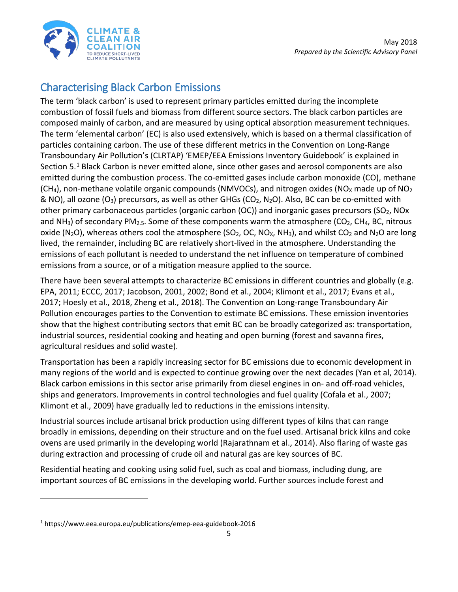

# <span id="page-4-0"></span>Characterising Black Carbon Emissions

The term 'black carbon' is used to represent primary particles emitted during the incomplete combustion of fossil fuels and biomass from different source sectors. The black carbon particles are composed mainly of carbon, and are measured by using optical absorption measurement techniques. The term 'elemental carbon' (EC) is also used extensively, which is based on a thermal classification of particles containing carbon. The use of these different metrics in the Convention on Long-Range Transboundary Air Pollution's (CLRTAP) 'EMEP/EEA Emissions Inventory Guidebook' is explained in Section 5.[1](#page-4-1) Black Carbon is never emitted alone, since other gases and aerosol components are also emitted during the combustion process. The co-emitted gases include carbon monoxide (CO), methane  $(CH<sub>4</sub>)$ , non-methane volatile organic compounds (NMVOCs), and nitrogen oxides (NO<sub>x</sub> made up of NO<sub>2</sub> & NO), all ozone (O<sub>3</sub>) precursors, as well as other GHGs (CO<sub>2</sub>, N<sub>2</sub>O). Also, BC can be co-emitted with other primary carbonaceous particles (organic carbon  $(OC)$ ) and inorganic gases precursors ( $SO<sub>2</sub>$ , NOx and NH<sub>3</sub>) of secondary PM<sub>2.5</sub>. Some of these components warm the atmosphere (CO<sub>2</sub>, CH<sub>4</sub>, BC, nitrous oxide (N<sub>2</sub>O), whereas others cool the atmosphere (SO<sub>2</sub>, OC, NO<sub>x</sub>, NH<sub>3</sub>), and whilst CO<sub>2</sub> and N<sub>2</sub>O are long lived, the remainder, including BC are relatively short-lived in the atmosphere. Understanding the emissions of each pollutant is needed to understand the net influence on temperature of combined emissions from a source, or of a mitigation measure applied to the source.

There have been several attempts to characterize BC emissions in different countries and globally (e.g. EPA, 2011; ECCC, 2017; Jacobson, 2001, 2002; Bond et al., 2004; Klimont et al., 2017; Evans et al., 2017; Hoesly et al., 2018, Zheng et al., 2018). The Convention on Long-range Transboundary Air Pollution encourages parties to the Convention to estimate BC emissions. These emission inventories show that the highest contributing sectors that emit BC can be broadly categorized as: transportation, industrial sources, residential cooking and heating and open burning (forest and savanna fires, agricultural residues and solid waste).

Transportation has been a rapidly increasing sector for BC emissions due to economic development in many regions of the world and is expected to continue growing over the next decades (Yan et al, 2014). Black carbon emissions in this sector arise primarily from diesel engines in on- and off-road vehicles, ships and generators. Improvements in control technologies and fuel quality (Cofala et al., 2007; Klimont et al., 2009) have gradually led to reductions in the emissions intensity.

Industrial sources include artisanal brick production using different types of kilns that can range broadly in emissions, depending on their structure and on the fuel used. Artisanal brick kilns and coke ovens are used primarily in the developing world (Rajarathnam et al., 2014). Also flaring of waste gas during extraction and processing of crude oil and natural gas are key sources of BC.

Residential heating and cooking using solid fuel, such as coal and biomass, including dung, are important sources of BC emissions in the developing world. Further sources include forest and

 $\overline{a}$ 

<span id="page-4-1"></span><sup>1</sup> https://www.eea.europa.eu/publications/emep-eea-guidebook-2016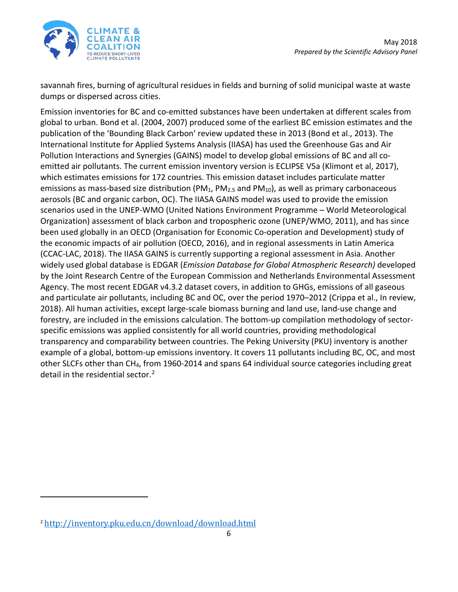

savannah fires, burning of agricultural residues in fields and burning of solid municipal waste at waste dumps or dispersed across cities.

Emission inventories for BC and co-emitted substances have been undertaken at different scales from global to urban. Bond et al. (2004, 2007) produced some of the earliest BC emission estimates and the publication of the 'Bounding Black Carbon' review updated these in 2013 (Bond et al., 2013). The International Institute for Applied Systems Analysis (IIASA) has used the Greenhouse Gas and Air Pollution Interactions and Synergies (GAINS) model to develop global emissions of BC and all coemitted air pollutants. The current emission inventory version is ECLIPSE V5a (Klimont et al, 2017), which estimates emissions for 172 countries. This emission dataset includes particulate matter emissions as mass-based size distribution (PM<sub>1</sub>, PM<sub>2.5</sub> and PM<sub>10</sub>), as well as primary carbonaceous aerosols (BC and organic carbon, OC). The IIASA GAINS model was used to provide the emission scenarios used in the UNEP-WMO (United Nations Environment Programme – World Meteorological Organization) assessment of black carbon and tropospheric ozone (UNEP/WMO, 2011), and has since been used globally in an OECD (Organisation for Economic Co-operation and Development) study of the economic impacts of air pollution (OECD, 2016), and in regional assessments in Latin America (CCAC-LAC, 2018). The IIASA GAINS is currently supporting a regional assessment in Asia. Another widely used global database is EDGAR (*Emission Database for Global Atmospheric Research)* developed by the Joint Research Centre of the European Commission and Netherlands Environmental Assessment Agency. The most recent EDGAR v4.3.2 dataset covers, in addition to GHGs, emissions of all gaseous and particulate air pollutants, including BC and OC, over the period 1970–2012 (Crippa et al., In review, 2018). All human activities, except large-scale biomass burning and land use, land-use change and forestry, are included in the emissions calculation. The bottom-up compilation methodology of sectorspecific emissions was applied consistently for all world countries, providing methodological transparency and comparability between countries. The Peking University (PKU) inventory is another example of a global, bottom-up emissions inventory. It covers 11 pollutants including BC, OC, and most other SLCFs other than CH4, from 1960-2014 and spans 64 individual source categories including great detail in the residential sector.<sup>[2](#page-5-0)</sup>

 $\overline{a}$ 

<span id="page-5-0"></span><sup>2</sup> <http://inventory.pku.edu.cn/download/download.html>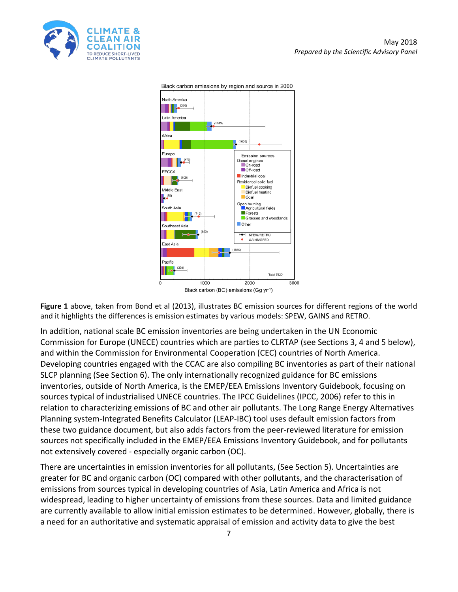



Black carbon emissions by region and source in 2000

Black carbon (BC) emissions (Gg yr<sup>1</sup>)

**Figure 1** above, taken from Bond et al (2013), illustrates BC emission sources for different regions of the world and it highlights the differences is emission estimates by various models: SPEW, GAINS and RETRO.

In addition, national scale BC emission inventories are being undertaken in the UN Economic Commission for Europe (UNECE) countries which are parties to CLRTAP (see Sections 3, 4 and 5 below), and within the Commission for Environmental Cooperation (CEC) countries of North America. Developing countries engaged with the CCAC are also compiling BC inventories as part of their national SLCP planning (See Section 6). The only internationally recognized guidance for BC emissions inventories, outside of North America, is the EMEP/EEA Emissions Inventory Guidebook, focusing on sources typical of industrialised UNECE countries. The IPCC Guidelines (IPCC, 2006) refer to this in relation to characterizing emissions of BC and other air pollutants. The Long Range Energy Alternatives Planning system-Integrated Benefits Calculator (LEAP-IBC) tool uses default emission factors from these two guidance document, but also adds factors from the peer-reviewed literature for emission sources not specifically included in the EMEP/EEA Emissions Inventory Guidebook, and for pollutants not extensively covered - especially organic carbon (OC).

There are uncertainties in emission inventories for all pollutants, (See Section 5). Uncertainties are greater for BC and organic carbon (OC) compared with other pollutants, and the characterisation of emissions from sources typical in developing countries of Asia, Latin America and Africa is not widespread, leading to higher uncertainty of emissions from these sources. Data and limited guidance are currently available to allow initial emission estimates to be determined. However, globally, there is a need for an authoritative and systematic appraisal of emission and activity data to give the best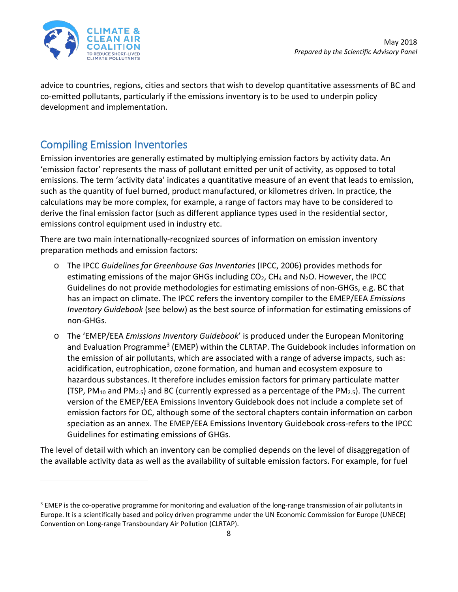

 $\overline{\phantom{a}}$ 

advice to countries, regions, cities and sectors that wish to develop quantitative assessments of BC and co-emitted pollutants, particularly if the emissions inventory is to be used to underpin policy development and implementation.

### <span id="page-7-0"></span>Compiling Emission Inventories

Emission inventories are generally estimated by multiplying emission factors by activity data. An 'emission factor' represents the mass of pollutant emitted per unit of activity, as opposed to total emissions. The term 'activity data' indicates a quantitative measure of an event that leads to emission, such as the quantity of fuel burned, product manufactured, or kilometres driven. In practice, the calculations may be more complex, for example, a range of factors may have to be considered to derive the final emission factor (such as different appliance types used in the residential sector, emissions control equipment used in industry etc.

There are two main internationally-recognized sources of information on emission inventory preparation methods and emission factors:

- o The IPCC *Guidelines for Greenhouse Gas Inventories* (IPCC, 2006) provides methods for estimating emissions of the major GHGs including  $CO<sub>2</sub>$ , CH<sub>4</sub> and N<sub>2</sub>O. However, the IPCC Guidelines do not provide methodologies for estimating emissions of non-GHGs, e.g. BC that has an impact on climate. The IPCC refers the inventory compiler to the EMEP/EEA *Emissions Inventory Guidebook* (see below) as the best source of information for estimating emissions of non-GHGs.
- o The 'EMEP/EEA *Emissions Inventory Guidebook*' is produced under the European Monitoring and Evaluation Programme<sup>[3](#page-7-1)</sup> (EMEP) within the CLRTAP. The Guidebook includes information on the emission of air pollutants, which are associated with a range of adverse impacts, such as: acidification, eutrophication, ozone formation, and human and ecosystem exposure to hazardous substances. It therefore includes emission factors for primary particulate matter (TSP, PM<sub>10</sub> and PM<sub>2.5</sub>) and BC (currently expressed as a percentage of the PM<sub>2.5</sub>). The current version of the EMEP/EEA Emissions Inventory Guidebook does not include a complete set of emission factors for OC, although some of the sectoral chapters contain information on carbon speciation as an annex. The EMEP/EEA Emissions Inventory Guidebook cross-refers to the IPCC Guidelines for estimating emissions of GHGs.

The level of detail with which an inventory can be complied depends on the level of disaggregation of the available activity data as well as the availability of suitable emission factors. For example, for fuel

<span id="page-7-1"></span><sup>&</sup>lt;sup>3</sup> EMEP is the co-operative programme for monitoring and evaluation of the long-range transmission of air pollutants in Europe. It is a scientifically based and policy driven programme under the UN Economic Commission for Europe (UNECE) Convention on Long-range Transboundary Air Pollution (CLRTAP).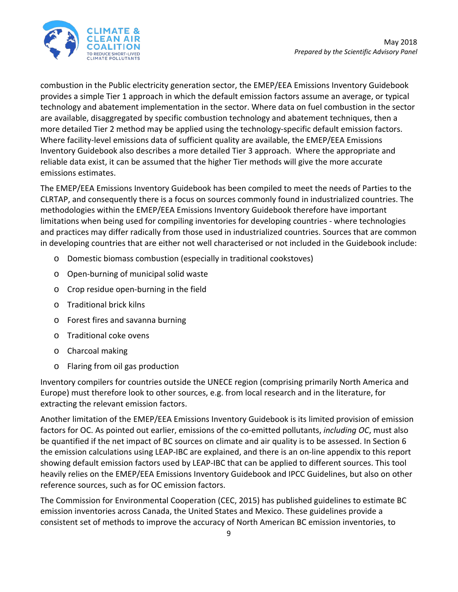

combustion in the Public electricity generation sector, the EMEP/EEA Emissions Inventory Guidebook provides a simple Tier 1 approach in which the default emission factors assume an average, or typical technology and abatement implementation in the sector. Where data on fuel combustion in the sector are available, disaggregated by specific combustion technology and abatement techniques, then a more detailed Tier 2 method may be applied using the technology-specific default emission factors. Where facility-level emissions data of sufficient quality are available, the EMEP/EEA Emissions Inventory Guidebook also describes a more detailed Tier 3 approach. Where the appropriate and reliable data exist, it can be assumed that the higher Tier methods will give the more accurate emissions estimates.

The EMEP/EEA Emissions Inventory Guidebook has been compiled to meet the needs of Parties to the CLRTAP, and consequently there is a focus on sources commonly found in industrialized countries. The methodologies within the EMEP/EEA Emissions Inventory Guidebook therefore have important limitations when being used for compiling inventories for developing countries - where technologies and practices may differ radically from those used in industrialized countries. Sources that are common in developing countries that are either not well characterised or not included in the Guidebook include:

- o Domestic biomass combustion (especially in traditional cookstoves)
- o Open-burning of municipal solid waste
- o Crop residue open-burning in the field
- o Traditional brick kilns
- o Forest fires and savanna burning
- o Traditional coke ovens
- o Charcoal making
- o Flaring from oil gas production

Inventory compilers for countries outside the UNECE region (comprising primarily North America and Europe) must therefore look to other sources, e.g. from local research and in the literature, for extracting the relevant emission factors.

Another limitation of the EMEP/EEA Emissions Inventory Guidebook is its limited provision of emission factors for OC. As pointed out earlier, emissions of the co-emitted pollutants, *including OC*, must also be quantified if the net impact of BC sources on climate and air quality is to be assessed. In Section 6 the emission calculations using LEAP-IBC are explained, and there is an on-line appendix to this report showing default emission factors used by LEAP-IBC that can be applied to different sources. This tool heavily relies on the EMEP/EEA Emissions Inventory Guidebook and IPCC Guidelines, but also on other reference sources, such as for OC emission factors.

The Commission for Environmental Cooperation (CEC, 2015) has published guidelines to estimate BC emission inventories across Canada, the United States and Mexico. These guidelines provide a consistent set of methods to improve the accuracy of North American BC emission inventories, to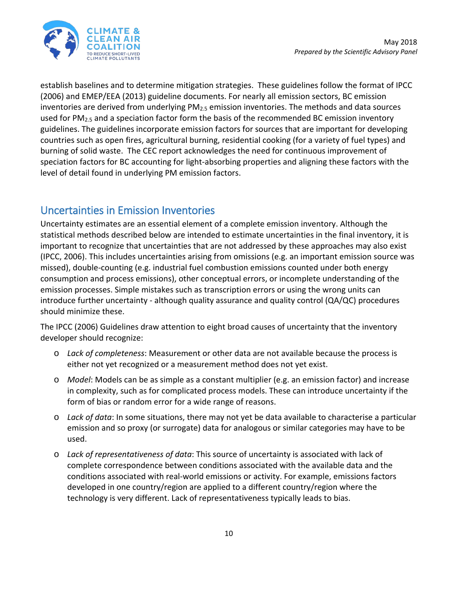

establish baselines and to determine mitigation strategies. These guidelines follow the format of IPCC (2006) and EMEP/EEA (2013) guideline documents. For nearly all emission sectors, BC emission inventories are derived from underlying  $PM<sub>2.5</sub>$  emission inventories. The methods and data sources used for PM<sub>2.5</sub> and a speciation factor form the basis of the recommended BC emission inventory guidelines. The guidelines incorporate emission factors for sources that are important for developing countries such as open fires, agricultural burning, residential cooking (for a variety of fuel types) and burning of solid waste. The CEC report acknowledges the need for continuous improvement of speciation factors for BC accounting for light-absorbing properties and aligning these factors with the level of detail found in underlying PM emission factors.

### <span id="page-9-0"></span>Uncertainties in Emission Inventories

Uncertainty estimates are an essential element of a complete emission inventory. Although the statistical methods described below are intended to estimate uncertainties in the final inventory, it is important to recognize that uncertainties that are not addressed by these approaches may also exist (IPCC, 2006). This includes uncertainties arising from omissions (e.g. an important emission source was missed), double-counting (e.g. industrial fuel combustion emissions counted under both energy consumption and process emissions), other conceptual errors, or incomplete understanding of the emission processes. Simple mistakes such as transcription errors or using the wrong units can introduce further uncertainty - although quality assurance and quality control (QA/QC) procedures should minimize these.

The IPCC (2006) Guidelines draw attention to eight broad causes of uncertainty that the inventory developer should recognize:

- o *Lack of completeness*: Measurement or other data are not available because the process is either not yet recognized or a measurement method does not yet exist.
- o *Model*: Models can be as simple as a constant multiplier (e.g. an emission factor) and increase in complexity, such as for complicated process models. These can introduce uncertainty if the form of bias or random error for a wide range of reasons.
- o *Lack of data*: In some situations, there may not yet be data available to characterise a particular emission and so proxy (or surrogate) data for analogous or similar categories may have to be used.
- o *Lack of representativeness of data*: This source of uncertainty is associated with lack of complete correspondence between conditions associated with the available data and the conditions associated with real-world emissions or activity. For example, emissions factors developed in one country/region are applied to a different country/region where the technology is very different. Lack of representativeness typically leads to bias.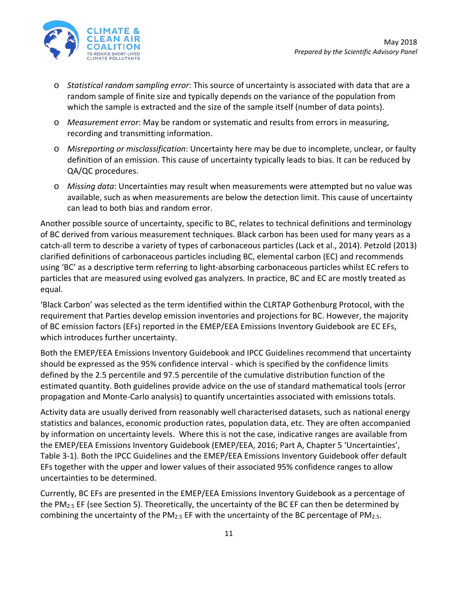

- o *Statistical random sampling error*: This source of uncertainty is associated with data that are a random sample of finite size and typically depends on the variance of the population from which the sample is extracted and the size of the sample itself (number of data points).
- o *Measurement error*: May be random or systematic and results from errors in measuring, recording and transmitting information.
- o *Misreporting or misclassification*: Uncertainty here may be due to incomplete, unclear, or faulty definition of an emission. This cause of uncertainty typically leads to bias. It can be reduced by QA/QC procedures.
- o *Missing data*: Uncertainties may result when measurements were attempted but no value was available, such as when measurements are below the detection limit. This cause of uncertainty can lead to both bias and random error.

Another possible source of uncertainty, specific to BC, relates to technical definitions and terminology of BC derived from various measurement techniques. Black carbon has been used for many years as a catch-all term to describe a variety of types of carbonaceous particles (Lack et al., 2014). Petzold (2013) clarified definitions of carbonaceous particles including BC, elemental carbon (EC) and recommends using 'BC' as a descriptive term referring to light-absorbing carbonaceous particles whilst EC refers to particles that are measured using evolved gas analyzers. In practice, BC and EC are mostly treated as equal.

'Black Carbon' was selected as the term identified within the CLRTAP Gothenburg Protocol, with the requirement that Parties develop emission inventories and projections for BC. However, the majority of BC emission factors (EFs) reported in the EMEP/EEA Emissions Inventory Guidebook are EC EFs, which introduces further uncertainty.

Both the EMEP/EEA Emissions Inventory Guidebook and IPCC Guidelines recommend that uncertainty should be expressed as the 95% confidence interval - which is specified by the confidence limits defined by the 2.5 percentile and 97.5 percentile of the cumulative distribution function of the estimated quantity. Both guidelines provide advice on the use of standard mathematical tools (error propagation and Monte-Carlo analysis) to quantify uncertainties associated with emissions totals.

Activity data are usually derived from reasonably well characterised datasets, such as national energy statistics and balances, economic production rates, population data, etc. They are often accompanied by information on uncertainty levels. Where this is not the case, indicative ranges are available from the EMEP/EEA Emissions Inventory Guidebook (EMEP/EEA, 2016; Part A, Chapter 5 'Uncertainties', Table 3-1). Both the IPCC Guidelines and the EMEP/EEA Emissions Inventory Guidebook offer default EFs together with the upper and lower values of their associated 95% confidence ranges to allow uncertainties to be determined.

Currently, BC EFs are presented in the EMEP/EEA Emissions Inventory Guidebook as a percentage of the PM<sub>2.5</sub> EF (see Section 5). Theoretically, the uncertainty of the BC EF can then be determined by combining the uncertainty of the  $PM_{2.5}$  EF with the uncertainty of the BC percentage of  $PM_{2.5}$ .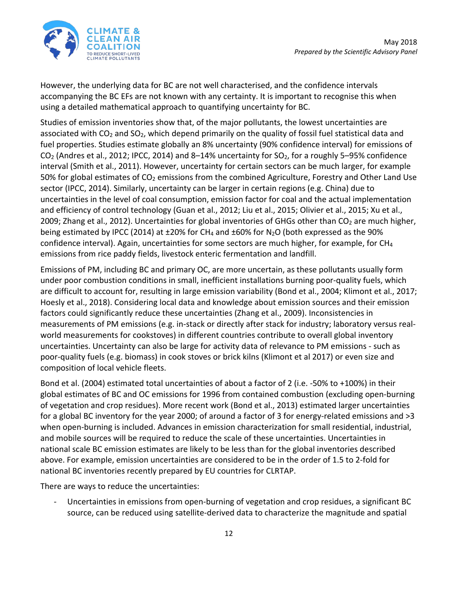

However, the underlying data for BC are not well characterised, and the confidence intervals accompanying the BC EFs are not known with any certainty. It is important to recognise this when using a detailed mathematical approach to quantifying uncertainty for BC.

Studies of emission inventories show that, of the major pollutants, the lowest uncertainties are associated with  $CO<sub>2</sub>$  and  $SO<sub>2</sub>$ , which depend primarily on the quality of fossil fuel statistical data and fuel properties. Studies estimate globally an 8% uncertainty (90% confidence interval) for emissions of  $CO<sub>2</sub>$  (Andres et al., 2012; IPCC, 2014) and 8–14% uncertainty for  $SO<sub>2</sub>$ , for a roughly 5–95% confidence interval (Smith et al., 2011). However, uncertainty for certain sectors can be much larger, for example 50% for global estimates of  $CO<sub>2</sub>$  emissions from the combined Agriculture, Forestry and Other Land Use sector (IPCC, 2014). Similarly, uncertainty can be larger in certain regions (e.g. China) due to uncertainties in the level of coal consumption, emission factor for coal and the actual implementation and efficiency of control technology (Guan et al., 2012; Liu et al., 2015; Olivier et al., 2015; Xu et al., 2009; Zhang et al., 2012). Uncertainties for global inventories of GHGs other than  $CO<sub>2</sub>$  are much higher, being estimated by IPCC (2014) at  $\pm 20\%$  for CH<sub>4</sub> and  $\pm 60\%$  for N<sub>2</sub>O (both expressed as the 90% confidence interval). Again, uncertainties for some sectors are much higher, for example, for  $CH<sub>4</sub>$ emissions from rice paddy fields, livestock enteric fermentation and landfill.

Emissions of PM, including BC and primary OC, are more uncertain, as these pollutants usually form under poor combustion conditions in small, inefficient installations burning poor-quality fuels, which are difficult to account for, resulting in large emission variability (Bond et al., 2004; Klimont et al., 2017; Hoesly et al., 2018). Considering local data and knowledge about emission sources and their emission factors could significantly reduce these uncertainties (Zhang et al., 2009). Inconsistencies in measurements of PM emissions (e.g. in-stack or directly after stack for industry; laboratory versus realworld measurements for cookstoves) in different countries contribute to overall global inventory uncertainties. Uncertainty can also be large for activity data of relevance to PM emissions - such as poor-quality fuels (e.g. biomass) in cook stoves or brick kilns (Klimont et al 2017) or even size and composition of local vehicle fleets.

Bond et al. (2004) estimated total uncertainties of about a factor of 2 (i.e. -50% to +100%) in their global estimates of BC and OC emissions for 1996 from contained combustion (excluding open-burning of vegetation and crop residues). More recent work (Bond et al., 2013) estimated larger uncertainties for a global BC inventory for the year 2000; of around a factor of 3 for energy-related emissions and >3 when open-burning is included. Advances in emission characterization for small residential, industrial, and mobile sources will be required to reduce the scale of these uncertainties. Uncertainties in national scale BC emission estimates are likely to be less than for the global inventories described above. For example, emission uncertainties are considered to be in the order of 1.5 to 2-fold for national BC inventories recently prepared by EU countries for CLRTAP.

There are ways to reduce the uncertainties:

Uncertainties in emissions from open-burning of vegetation and crop residues, a significant BC source, can be reduced using satellite-derived data to characterize the magnitude and spatial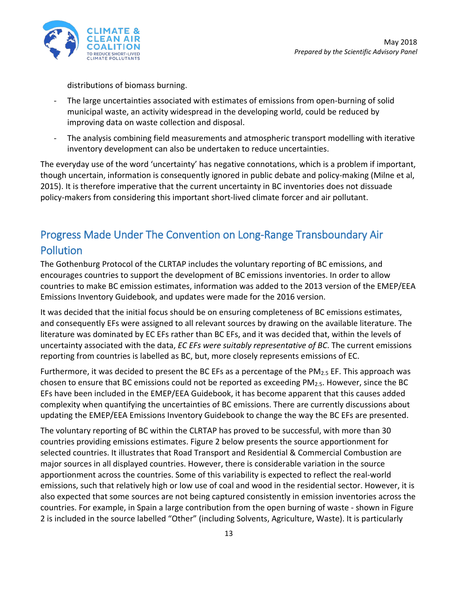

distributions of biomass burning.

- The large uncertainties associated with estimates of emissions from open-burning of solid municipal waste, an activity widespread in the developing world, could be reduced by improving data on waste collection and disposal.
- The analysis combining field measurements and atmospheric transport modelling with iterative inventory development can also be undertaken to reduce uncertainties.

The everyday use of the word 'uncertainty' has negative connotations, which is a problem if important, though uncertain, information is consequently ignored in public debate and policy-making (Milne et al, 2015). It is therefore imperative that the current uncertainty in BC inventories does not dissuade policy-makers from considering this important short-lived climate forcer and air pollutant.

# <span id="page-12-0"></span>Progress Made Under The Convention on Long-Range Transboundary Air **Pollution**

The Gothenburg Protocol of the CLRTAP includes the voluntary reporting of BC emissions, and encourages countries to support the development of BC emissions inventories. In order to allow countries to make BC emission estimates, information was added to the 2013 version of the EMEP/EEA Emissions Inventory Guidebook, and updates were made for the 2016 version.

It was decided that the initial focus should be on ensuring completeness of BC emissions estimates, and consequently EFs were assigned to all relevant sources by drawing on the available literature. The literature was dominated by EC EFs rather than BC EFs, and it was decided that, within the levels of uncertainty associated with the data, *EC EFs were suitably representative of BC*. The current emissions reporting from countries is labelled as BC, but, more closely represents emissions of EC.

Furthermore, it was decided to present the BC EFs as a percentage of the PM<sub>2.5</sub> EF. This approach was chosen to ensure that BC emissions could not be reported as exceeding  $PM_{2.5}$ . However, since the BC EFs have been included in the EMEP/EEA Guidebook, it has become apparent that this causes added complexity when quantifying the uncertainties of BC emissions. There are currently discussions about updating the EMEP/EEA Emissions Inventory Guidebook to change the way the BC EFs are presented.

The voluntary reporting of BC within the CLRTAP has proved to be successful, with more than 30 countries providing emissions estimates. Figure 2 below presents the source apportionment for selected countries. It illustrates that Road Transport and Residential & Commercial Combustion are major sources in all displayed countries. However, there is considerable variation in the source apportionment across the countries. Some of this variability is expected to reflect the real-world emissions, such that relatively high or low use of coal and wood in the residential sector. However, it is also expected that some sources are not being captured consistently in emission inventories across the countries. For example, in Spain a large contribution from the open burning of waste - shown in Figure 2 is included in the source labelled "Other" (including Solvents, Agriculture, Waste). It is particularly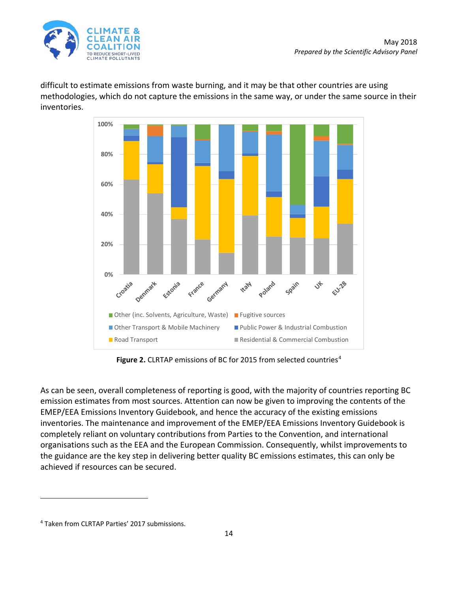

difficult to estimate emissions from waste burning, and it may be that other countries are using methodologies, which do not capture the emissions in the same way, or under the same source in their inventories.



Figure 2. CLRTAP emissions of BC for 2015 from selected countries<sup>[4](#page-13-0)</sup>

As can be seen, overall completeness of reporting is good, with the majority of countries reporting BC emission estimates from most sources. Attention can now be given to improving the contents of the EMEP/EEA Emissions Inventory Guidebook, and hence the accuracy of the existing emissions inventories. The maintenance and improvement of the EMEP/EEA Emissions Inventory Guidebook is completely reliant on voluntary contributions from Parties to the Convention, and international organisations such as the EEA and the European Commission. Consequently, whilst improvements to the guidance are the key step in delivering better quality BC emissions estimates, this can only be achieved if resources can be secured.

 $\overline{a}$ 

<span id="page-13-0"></span><sup>4</sup> Taken from CLRTAP Parties' 2017 submissions.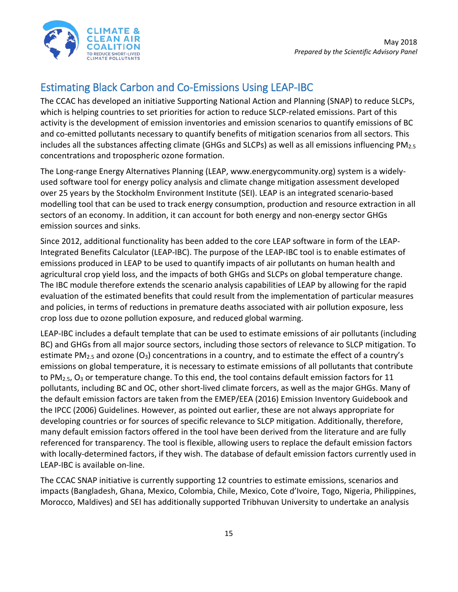

# <span id="page-14-0"></span>Estimating Black Carbon and Co-Emissions Using LEAP-IBC

The CCAC has developed an initiative Supporting National Action and Planning (SNAP) to reduce SLCPs, which is helping countries to set priorities for action to reduce SLCP-related emissions. Part of this activity is the development of emission inventories and emission scenarios to quantify emissions of BC and co-emitted pollutants necessary to quantify benefits of mitigation scenarios from all sectors. This includes all the substances affecting climate (GHGs and SLCPs) as well as all emissions influencing  $PM_{2.5}$ concentrations and tropospheric ozone formation.

The Long-range Energy Alternatives Planning (LEAP, www.energycommunity.org) system is a widelyused software tool for energy policy analysis and climate change mitigation assessment developed over 25 years by the Stockholm Environment Institute (SEI). LEAP is an integrated scenario-based modelling tool that can be used to track energy consumption, production and resource extraction in all sectors of an economy. In addition, it can account for both energy and non-energy sector GHGs emission sources and sinks.

Since 2012, additional functionality has been added to the core LEAP software in form of the LEAP-Integrated Benefits Calculator (LEAP-IBC). The purpose of the LEAP-IBC tool is to enable estimates of emissions produced in LEAP to be used to quantify impacts of air pollutants on human health and agricultural crop yield loss, and the impacts of both GHGs and SLCPs on global temperature change. The IBC module therefore extends the scenario analysis capabilities of LEAP by allowing for the rapid evaluation of the estimated benefits that could result from the implementation of particular measures and policies, in terms of reductions in premature deaths associated with air pollution exposure, less crop loss due to ozone pollution exposure, and reduced global warming.

LEAP-IBC includes a default template that can be used to estimate emissions of air pollutants (including BC) and GHGs from all major source sectors, including those sectors of relevance to SLCP mitigation. To estimate PM<sub>2.5</sub> and ozone (O<sub>3</sub>) concentrations in a country, and to estimate the effect of a country's emissions on global temperature, it is necessary to estimate emissions of all pollutants that contribute to PM<sub>2.5</sub>,  $O_3$  or temperature change. To this end, the tool contains default emission factors for 11 pollutants, including BC and OC, other short-lived climate forcers, as well as the major GHGs. Many of the default emission factors are taken from the EMEP/EEA (2016) Emission Inventory Guidebook and the IPCC (2006) Guidelines. However, as pointed out earlier, these are not always appropriate for developing countries or for sources of specific relevance to SLCP mitigation. Additionally, therefore, many default emission factors offered in the tool have been derived from the literature and are fully referenced for transparency. The tool is flexible, allowing users to replace the default emission factors with locally-determined factors, if they wish. The database of default emission factors currently used in LEAP-IBC is available on-line.

The CCAC SNAP initiative is currently supporting 12 countries to estimate emissions, scenarios and impacts (Bangladesh, Ghana, Mexico, Colombia, Chile, Mexico, Cote d'Ivoire, Togo, Nigeria, Philippines, Morocco, Maldives) and SEI has additionally supported Tribhuvan University to undertake an analysis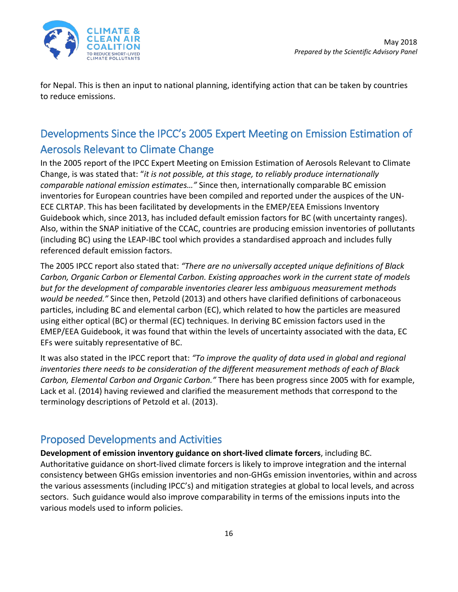

for Nepal. This is then an input to national planning, identifying action that can be taken by countries to reduce emissions.

# <span id="page-15-0"></span>Developments Since the IPCC's 2005 Expert Meeting on Emission Estimation of Aerosols Relevant to Climate Change

In the 2005 report of the IPCC Expert Meeting on Emission Estimation of Aerosols Relevant to Climate Change, is was stated that: "*it is not possible, at this stage, to reliably produce internationally comparable national emission estimates…"* Since then, internationally comparable BC emission inventories for European countries have been compiled and reported under the auspices of the UN-ECE CLRTAP. This has been facilitated by developments in the EMEP/EEA Emissions Inventory Guidebook which, since 2013, has included default emission factors for BC (with uncertainty ranges). Also, within the SNAP initiative of the CCAC, countries are producing emission inventories of pollutants (including BC) using the LEAP-IBC tool which provides a standardised approach and includes fully referenced default emission factors.

The 2005 IPCC report also stated that: *"There are no universally accepted unique definitions of Black Carbon, Organic Carbon or Elemental Carbon. Existing approaches work in the current state of models but for the development of comparable inventories clearer less ambiguous measurement methods would be needed."* Since then, Petzold (2013) and others have clarified definitions of carbonaceous particles, including BC and elemental carbon (EC), which related to how the particles are measured using either optical (BC) or thermal (EC) techniques. In deriving BC emission factors used in the EMEP/EEA Guidebook, it was found that within the levels of uncertainty associated with the data, EC EFs were suitably representative of BC.

It was also stated in the IPCC report that: *"To improve the quality of data used in global and regional inventories there needs to be consideration of the different measurement methods of each of Black Carbon, Elemental Carbon and Organic Carbon."* There has been progress since 2005 with for example, Lack et al. (2014) having reviewed and clarified the measurement methods that correspond to the terminology descriptions of Petzold et al. (2013).

#### <span id="page-15-1"></span>Proposed Developments and Activities

**Development of emission inventory guidance on short-lived climate forcers**, including BC. Authoritative guidance on short-lived climate forcers is likely to improve integration and the internal consistency between GHGs emission inventories and non-GHGs emission inventories, within and across the various assessments (including IPCC's) and mitigation strategies at global to local levels, and across sectors. Such guidance would also improve comparability in terms of the emissions inputs into the various models used to inform policies.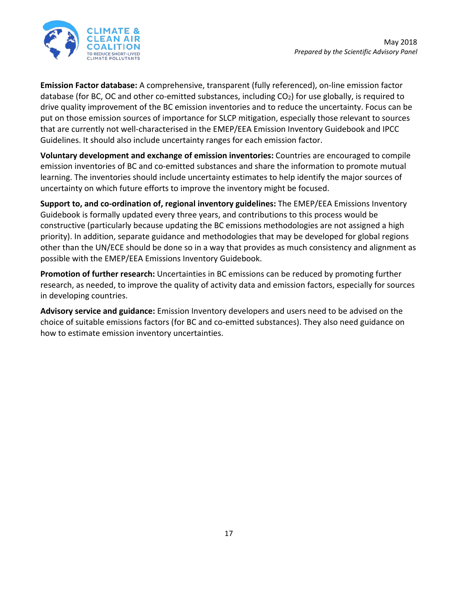

**Emission Factor database:** A comprehensive, transparent (fully referenced), on-line emission factor database (for BC, OC and other co-emitted substances, including  $CO<sub>2</sub>$ ) for use globally, is required to drive quality improvement of the BC emission inventories and to reduce the uncertainty. Focus can be put on those emission sources of importance for SLCP mitigation, especially those relevant to sources that are currently not well-characterised in the EMEP/EEA Emission Inventory Guidebook and IPCC Guidelines. It should also include uncertainty ranges for each emission factor.

**Voluntary development and exchange of emission inventories:** Countries are encouraged to compile emission inventories of BC and co-emitted substances and share the information to promote mutual learning. The inventories should include uncertainty estimates to help identify the major sources of uncertainty on which future efforts to improve the inventory might be focused.

**Support to, and co-ordination of, regional inventory guidelines:** The EMEP/EEA Emissions Inventory Guidebook is formally updated every three years, and contributions to this process would be constructive (particularly because updating the BC emissions methodologies are not assigned a high priority). In addition, separate guidance and methodologies that may be developed for global regions other than the UN/ECE should be done so in a way that provides as much consistency and alignment as possible with the EMEP/EEA Emissions Inventory Guidebook.

**Promotion of further research:** Uncertainties in BC emissions can be reduced by promoting further research, as needed, to improve the quality of activity data and emission factors, especially for sources in developing countries.

**Advisory service and guidance:** Emission Inventory developers and users need to be advised on the choice of suitable emissions factors (for BC and co-emitted substances). They also need guidance on how to estimate emission inventory uncertainties.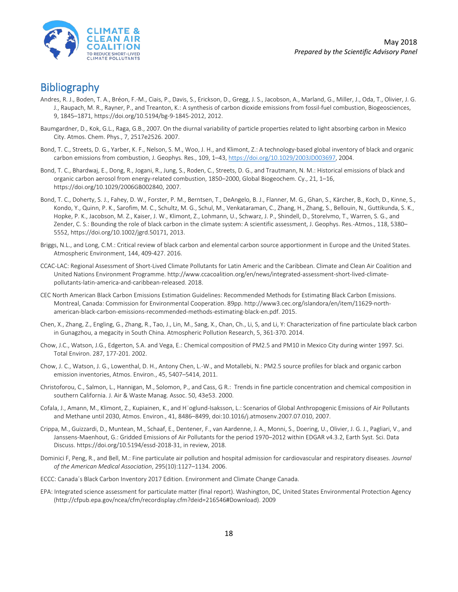

- <span id="page-17-0"></span>Bibliography<br>Andres, R. J., Boden, T. A., Bréon, F.-M., Ciais, P., Davis, S., Erickson, D., Gregg, J. S., Jacobson, A., Marland, G., Miller, J., Oda, T., Olivier, J. G. J., Raupach, M. R., Rayner, P., and Treanton, K.: A synthesis of carbon dioxide emissions from fossil-fuel combustion, Biogeosciences, 9, 1845–1871, https://doi.org/10.5194/bg-9-1845-2012, 2012.
- Baumgardner, D., Kok, G.L., Raga, G.B., 2007. On the diurnal variability of particle properties related to light absorbing carbon in Mexico City. Atmos. Chem. Phys., 7, 2517e2526. 2007.
- Bond, T. C., Streets, D. G., Yarber, K. F., Nelson, S. M., Woo, J. H., and Klimont, Z.: A technology-based global inventory of black and organic carbon emissions from combustion, J. Geophys. Res., 109, 1–43[, https://doi.org/10.1029/2003JD003697,](https://doi.org/10.1029/2003JD003697) 2004.
- Bond, T. C., Bhardwaj, E., Dong, R., Jogani, R., Jung, S., Roden, C., Streets, D. G., and Trautmann, N. M.: Historical emissions of black and organic carbon aerosol from energy-related combustion, 1850–2000, Global Biogeochem. Cy., 21, 1–16, https://doi.org/10.1029/2006GB002840, 2007.
- Bond, T. C., Doherty, S. J., Fahey, D. W., Forster, P. M., Berntsen, T., DeAngelo, B. J., Flanner, M. G., Ghan, S., Kärcher, B., Koch, D., Kinne, S., Kondo, Y., Quinn, P. K., Sarofim, M. C., Schultz, M. G., Schul, M., Venkataraman, C., Zhang, H., Zhang, S., Bellouin, N., Guttikunda, S. K., Hopke, P. K., Jacobson, M. Z., Kaiser, J. W., Klimont, Z., Lohmann, U., Schwarz, J. P., Shindell, D., Storelvmo, T., Warren, S. G., and Zender, C. S.: Bounding the role of black carbon in the climate system: A scientific assessment, J. Geophys. Res.-Atmos., 118, 5380– 5552, https://doi.org/10.1002/jgrd.50171, 2013.
- Briggs, N.L., and Long, C.M.: Critical review of black carbon and elemental carbon source apportionment in Europe and the United States. Atmospheric Environment, 144, 409-427. 2016.
- CCAC-LAC: Regional Assessment of Short-Lived Climate Pollutants for Latin Americ and the Caribbean. Climate and Clean Air Coalition and United Nations Environment Programme. http://www.ccacoalition.org/en/news/integrated-assessment-short-lived-climatepollutants-latin-america-and-caribbean-released. 2018.
- CEC North American Black Carbon Emissions Estimation Guidelines: Recommended Methods for Estimating Black Carbon Emissions. Montreal, Canada: Commission for Environmental Cooperation. 89pp. http://www3.cec.org/islandora/en/item/11629-northamerican-black-carbon-emissions-recommended-methods-estimating-black-en.pdf. 2015.
- Chen, X., Zhang, Z., Engling, G., Zhang, R., Tao, J., Lin, M., Sang, X., Chan, Ch., Li, S, and Li, Y: Characterization of fine particulate black carbon in Gunagzhou, a megacity in South China. Atmospheric Pollution Research, 5, 361-370. 2014.
- Chow, J.C., Watson, J.G., Edgerton, S.A. and Vega, E.: Chemical composition of PM2.5 and PM10 in Mexico City during winter 1997. Sci. Total Environ. 287, 177-201. 2002.
- Chow, J. C., Watson, J. G., Lowenthal, D. H., Antony Chen, L.-W., and Motallebi, N.: PM2.5 source profiles for black and organic carbon emission inventories, Atmos. Environ., 45, 5407–5414, 2011.
- Christoforou, C., Salmon, L., Hannigan, M., Solomon, P., and Cass, G R.: Trends in fine particle concentration and chemical composition in southern California. J. Air & Waste Manag. Assoc. 50, 43e53. 2000.
- Cofala, J., Amann, M., Klimont, Z., Kupiainen, K., and H¨oglund-Isaksson, L.: Scenarios of Global Anthropogenic Emissions of Air Pollutants and Methane until 2030, Atmos. Environ., 41, 8486–8499, doi:10.1016/j.atmosenv.2007.07.010, 2007.
- Crippa, M., Guizzardi, D., Muntean, M., Schaaf, E., Dentener, F., van Aardenne, J. A., Monni, S., Doering, U., Olivier, J. G. J., Pagliari, V., and Janssens-Maenhout, G.: Gridded Emissions of Air Pollutants for the period 1970–2012 within EDGAR v4.3.2, Earth Syst. Sci. Data Discuss. https://doi.org/10.5194/essd-2018-31, in review, 2018.
- Dominici F, Peng, R., and Bell, M.: Fine particulate air pollution and hospital admission for cardiovascular and respiratory diseases. *Journal of the American Medical Association*, 295(10):1127–1134. 2006.
- ECCC: Canada´s Black Carbon Inventory 2017 Edition. Environment and Climate Change Canada.
- EPA: Integrated science assessment for particulate matter (final report). Washington, DC, United States Environmental Protection Agency (http://cfpub.epa.gov/ncea/cfm/recordisplay.cfm?deid=216546#Download). 2009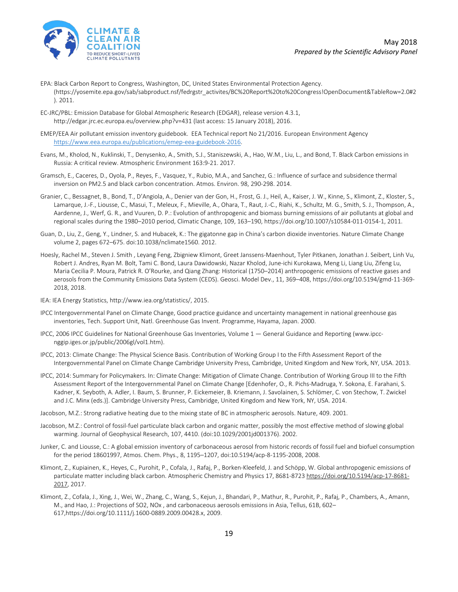

- EPA: Black Carbon Report to Congress, Washington, DC, United States Environmental Protection Agency. (https://yosemite.epa.gov/sab/sabproduct.nsf/fedrgstr\_activites/BC%20Report%20to%20Congress!OpenDocument&TableRow=2.0#2 ). 2011.
- EC-JRC/PBL: Emission Database for Global Atmospheric Research (EDGAR), release version 4.3.1, http://edgar.jrc.ec.europa.eu/overview.php?v=431 (last access: 15 January 2018), 2016.
- EMEP/EEA Air pollutant emission inventory guidebook. EEA Technical report No 21/2016. European Environment Agency [https://www.eea.europa.eu/publications/emep-eea-guidebook-2016.](https://www.eea.europa.eu/publications/emep-eea-guidebook-2016)
- Evans, M., Kholod, N., Kuklinski, T., Denysenko, A., Smith, S.J., Staniszewski, A., Hao, W.M., Liu, L., and Bond, T. Black Carbon emissions in Russia: A critical review. Atmospheric Environment 163:9-21. 2017.
- Gramsch, E., Caceres, D., Oyola, P., Reyes, F., Vasquez, Y., Rubio, M.A., and Sanchez, G.: Influence of surface and subsidence thermal inversion on PM2.5 and black carbon concentration. Atmos. Environ. 98, 290-298. 2014.
- Granier, C., Bessagnet, B., Bond, T., D'Angiola, A., Denier van der Gon, H., Frost, G. J., Heil, A., Kaiser, J. W., Kinne, S., Klimont, Z., Kloster, S., Lamarque, J.-F., Liousse, C., Masui, T., Meleux, F., Mieville, A., Ohara, T., Raut, J.-C., Riahi, K., Schultz, M. G., Smith, S. J., Thompson, A., Aardenne, J., Werf, G. R., and Vuuren, D. P.: Evolution of anthropogenic and biomass burning emissions of air pollutants at global and regional scales during the 1980–2010 period, Climatic Change, 109, 163–190, https://doi.org/10.1007/s10584-011-0154-1, 2011.
- Guan, D., Liu, Z., Geng, Y., Lindner, S. and Hubacek, K.: The gigatonne gap in China's carbon dioxide inventories. Nature Climate Change volume 2, pages 672–675. doi:10.1038/nclimate1560. 2012.
- Hoesly, Rachel M., Steven J. Smith , Leyang Feng, Zbigniew Klimont, Greet Janssens-Maenhout, Tyler Pitkanen, Jonathan J. Seibert, Linh Vu, Robert J. Andres, Ryan M. Bolt, Tami C. Bond, Laura Dawidowski, Nazar Kholod, June-ichi Kurokawa, Meng Li, Liang Liu, Zifeng Lu, Maria Cecilia P. Moura, Patrick R. O'Rourke, and Qiang Zhang: Historical (1750–2014) anthropogenic emissions of reactive gases and aerosols from the Community Emissions Data System (CEDS). Geosci. Model Dev., 11, 369–408, https://doi.org/10.5194/gmd-11-369- 2018, 2018.
- IEA: IEA Energy Statistics, http://www.iea.org/statistics/, 2015.
- IPCC Intergovernmental Panel on Climate Change, Good practice guidance and uncertainty management in national greenhouse gas inventories, Tech. Support Unit, Natl. Greenhouse Gas Invent. Programme, Hayama, Japan. 2000.
- IPCC, 2006 IPCC Guidelines for National Greenhouse Gas Inventories, Volume 1 General Guidance and Reporting [\(www.ipcc](http://www.ipcc-nggip.iges.or.jp/public/2006gl/vol1.htm)[nggip.iges.or.jp/public/2006gl/vol1.htm\).](http://www.ipcc-nggip.iges.or.jp/public/2006gl/vol1.htm)
- IPCC, 2013: Climate Change: The Physical Science Basis. Contribution of Working Group I to the Fifth Assessment Report of the Intergovernmental Panel on Climate Change Cambridge University Press, Cambridge, United Kingdom and New York, NY, USA. 2013.
- IPCC, 2014: Summary for Policymakers. In: Climate Change: Mitigation of Climate Change. Contribution of Working Group III to the Fifth Assessment Report of the Intergovernmental Panel on Climate Change [Edenhofer, O., R. Pichs-Madruga, Y. Sokona, E. Farahani, S. Kadner, K. Seyboth, A. Adler, I. Baum, S. Brunner, P. Eickemeier, B. Kriemann, J. Savolainen, S. Schlömer, C. von Stechow, T. Zwickel and J.C. Minx (eds.)]. Cambridge University Press, Cambridge, United Kingdom and New York, NY, USA. 2014.
- Jacobson, M.Z.: Strong radiative heating due to the mixing state of BC in atmospheric aerosols. Nature, 409. 2001.
- Jacobson, M.Z.: Control of fossil-fuel particulate black carbon and organic matter, possibly the most effective method of slowing global warming. Journal of Geophysical Research, 107, 4410. (doi:10.1029/2001jd001376). 2002.
- Junker, C. and Liousse, C.: A global emission inventory of carbonaceous aerosol from historic records of fossil fuel and biofuel consumption for the period 18601997, Atmos. Chem. Phys., 8, 1195–1207, doi:10.5194/acp-8-1195-2008, 2008.
- Klimont, Z., Kupiainen, K., Heyes, C., Purohit, P., Cofala, J., Rafaj, P., Borken-Kleefeld, J. and Schöpp, W. Global anthropogenic emissions of particulate matter including black carbon. Atmospheric Chemistry and Physics 17, 8681-8723 [https://doi.org/10.5194/acp-17-8681-](https://doi.org/10.5194/acp-17-8681-2017) [2017,](https://doi.org/10.5194/acp-17-8681-2017) 2017.
- Klimont, Z., Cofala, J., Xing, J., Wei, W., Zhang, C., Wang, S., Kejun, J., Bhandari, P., Mathur, R., Purohit, P., Rafaj, P., Chambers, A., Amann, M., and Hao, J.: Projections of SO2, NOx , and carbonaceous aerosols emissions in Asia, Tellus, 61B, 602– 617,https://doi.org/10.1111/j.1600-0889.2009.00428.x, 2009.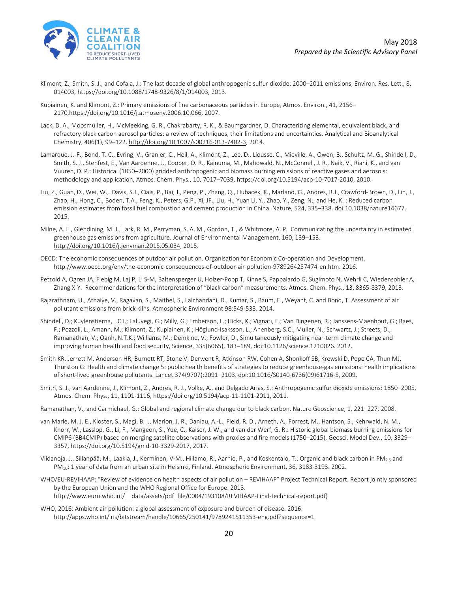

- Klimont, Z., Smith, S. J., and Cofala, J.: The last decade of global anthropogenic sulfur dioxide: 2000–2011 emissions, Environ. Res. Lett., 8, 014003, https://doi.org/10.1088/1748-9326/8/1/014003, 2013.
- Kupiainen, K. and Klimont, Z.: Primary emissions of fine carbonaceous particles in Europe, Atmos. Environ., 41, 2156– 2170,https://doi.org/10.1016/j.atmosenv.2006.10.066, 2007.
- Lack, D. A., Moosmüller, H., McMeeking, G. R., Chakrabarty, R. K., & Baumgardner, D. Characterizing elemental, equivalent black, and refractory black carbon aerosol particles: a review of techniques, their limitations and uncertainties. Analytical and Bioanalytical Chemistry, 406(1), 99–122[. http://doi.org/10.1007/s00216-013-7402-3,](http://doi.org/10.1007/s00216-013-7402-3) 2014.
- Lamarque, J.-F., Bond, T. C., Eyring, V., Granier, C., Heil, A., Klimont, Z., Lee, D., Liousse, C., Mieville, A., Owen, B., Schultz, M. G., Shindell, D., Smith, S. J., Stehfest, E., Van Aardenne, J., Cooper, O. R., Kainuma, M., Mahowald, N., McConnell, J. R., Naik, V., Riahi, K., and van Vuuren, D. P.: Historical (1850–2000) gridded anthropogenic and biomass burning emissions of reactive gases and aerosols: methodology and application, Atmos. Chem. Phys., 10, 7017–7039, https://doi.org/10.5194/acp-10-7017-2010, 2010.
- Liu, Z., Guan, D., Wei, W., Davis, S.J., Ciais, P., Bai, J., Peng, P., Zhang, Q., Hubacek, K., Marland, G., Andres, R.J., Crawford-Brown, D., Lin, J., Zhao, H., Hong, C., Boden, T.A., Feng, K., Peters, G.P., Xi, JF., Liu, H., Yuan Li, Y., Zhao, Y., Zeng, N., and He, K. : Reduced carbon emission estimates from fossil fuel combustion and cement production in China. Nature, 524, 335–338. doi:10.1038/nature14677. 2015.
- Milne, A. E., Glendining, M. J., Lark, R. M., Perryman, S. A. M., Gordon, T., & Whitmore, A. P. Communicating the uncertainty in estimated greenhouse gas emissions from agriculture. Journal of Environmental Management, 160, 139–153. [http://doi.org/10.1016/j.jenvman.2015.05.034,](http://doi.org/10.1016/j.jenvman.2015.05.034) 2015.
- OECD: The economic consequences of outdoor air pollution. Organisation for Economic Co-operation and Development. http://www.oecd.org/env/the-economic-consequences-of-outdoor-air-pollution-9789264257474-en.htm. 2016.
- Petzold A, Ogren JA, Fiebig M, Laj P, Li S-M, Baltensperger U, Holzer-Popp T, Kinne S, Pappalardo G, Sugimoto N, Wehrli C, Wiedensohler A, Zhang X-Y. Recommendations for the interpretation of "black carbon" measurements. Atmos. Chem. Phys., 13, 8365-8379, 2013.
- Rajarathnam, U., Athalye, V., Ragavan, S., Maithel, S., Lalchandani, D., Kumar, S., Baum, E., Weyant, C. and Bond, T. Assessment of air pollutant emissions from brick kilns. Atmospheric Environment 98:549-533. 2014.
- Shindell, D.; Kuylenstierna, J.C.I.; Faluvegi, G.; Milly, G.; Emberson, L.; Hicks, K.; Vignati, E.; Van Dingenen, R.; Janssens-Maenhout, G.; Raes, F.; Pozzoli, L.; Amann, M.; Klimont, Z.; Kupiainen, K.; Höglund-Isaksson, L.; Anenberg, S.C.; Muller, N.; Schwartz, J.; Streets, D.; Ramanathan, V.; Oanh, N.T.K.; Williams, M.; Demkine, V.; Fowler, D., Simultaneously mitigating near-term climate change and improving human health and food security, Science, 335(6065), 183–189, doi:10.1126/science.1210026. 2012.
- Smith KR, Jerrett M, Anderson HR, Burnett RT, Stone V, Derwent R, Atkinson RW, Cohen A, Shonkoff SB, Krewski D, Pope CA, Thun MJ, Thurston G: Health and climate change 5: public health benefits of strategies to reduce greenhouse-gas emissions: health implications of short-lived greenhouse pollutants. Lancet 374(9707):2091–2103. doi:10.1016/S0140-6736(09)61716-5, 2009.
- Smith, S. J., van Aardenne, J., Klimont, Z., Andres, R. J., Volke, A., and Delgado Arias, S.: Anthropogenic sulfur dioxide emissions: 1850–2005, Atmos. Chem. Phys., 11, 1101-1116, https://doi.org/10.5194/acp-11-1101-2011, 2011.
- Ramanathan, V., and Carmichael, G.: Global and regional climate change dur to black carbon. Nature Geoscience, 1, 221–227. 2008.
- van Marle, M. J. E., Kloster, S., Magi, B. I., Marlon, J. R., Daniau, A.-L., Field, R. D., Arneth, A., Forrest, M., Hantson, S., Kehrwald, N. M., Knorr, W., Lasslop, G., Li, F., Mangeon, S., Yue, C., Kaiser, J. W., and van der Werf, G. R.: Historic global biomass burning emissions for CMIP6 (BB4CMIP) based on merging satellite observations with proxies and fire models (1750–2015), Geosci. Model Dev., 10, 3329– 3357, https://doi.org/10.5194/gmd-10-3329-2017, 2017.
- Viidanoja, J., Sillanpää, M., Laakia, J., Kerminen, V-M., Hillamo, R., Aarnio, P., and Koskentalo, T.: Organic and black carbon in PM2.5 and PM10: 1 year of data from an urban site in Helsinki, Finland. Atmospheric Environment, 36, 3183-3193. 2002.
- WHO/EU-REVIHAAP: "Review of evidence on health aspects of air pollution REVIHAAP" Project Technical Report. Report jointly sponsored by the European Union and the WHO Regional Office for Europe. 2013. http://www.euro.who.int/\_\_data/assets/pdf\_file/0004/193108/REVIHAAP-Final-technical-report.pdf)
- WHO, 2016: Ambient air pollution: a global assessment of exposure and burden of disease. 2016. http://apps.who.int/iris/bitstream/handle/10665/250141/9789241511353-eng.pdf?sequence=1